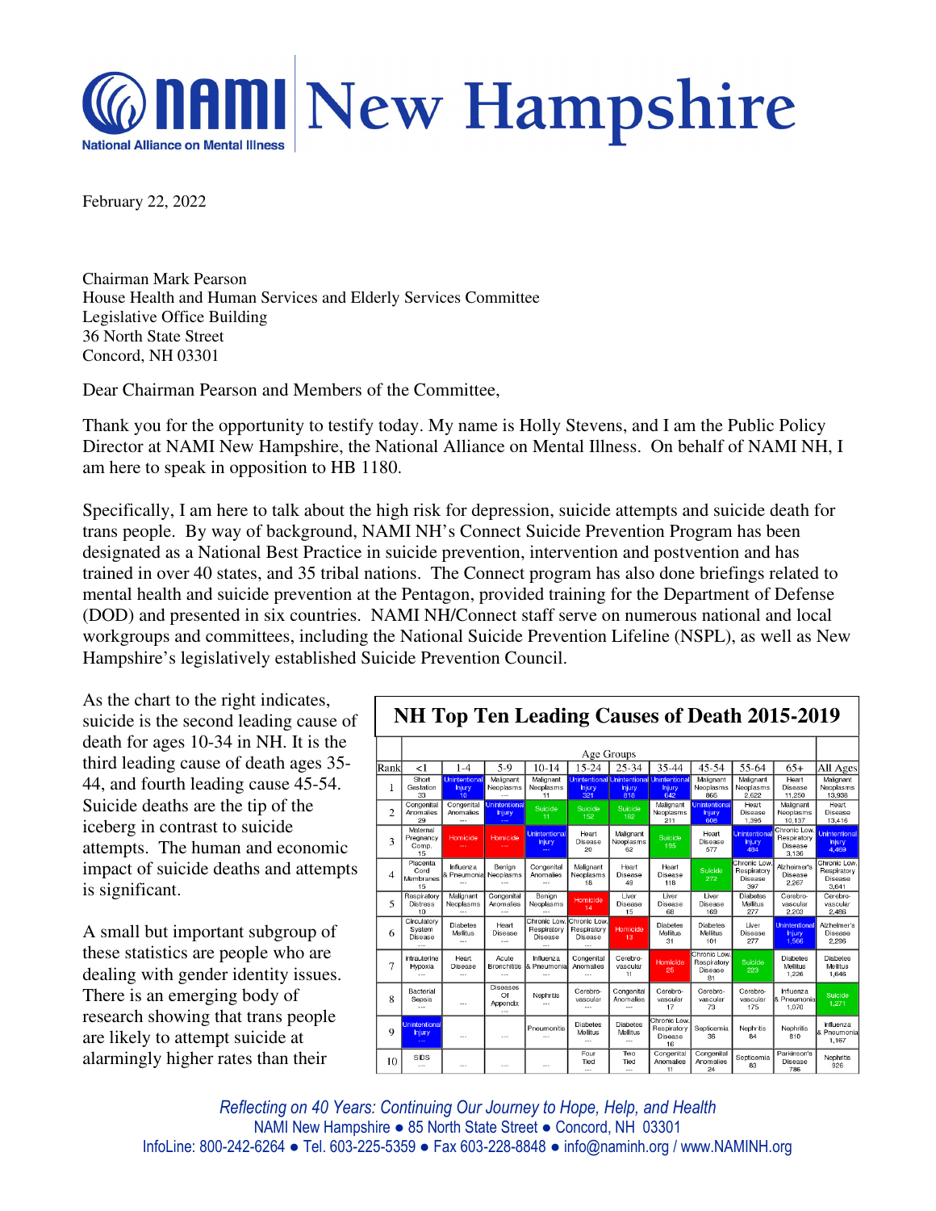

February 22, 2022

Chairman Mark Pearson House Health and Human Services and Elderly Services Committee Legislative Office Building 36 North State Street Concord, NH 03301

Dear Chairman Pearson and Members of the Committee,

Thank you for the opportunity to testify today. My name is Holly Stevens, and I am the Public Policy Director at NAMI New Hampshire, the National Alliance on Mental Illness. On behalf of NAMI NH, I am here to speak in opposition to HB 1180.

Specifically, I am here to talk about the high risk for depression, suicide attempts and suicide death for trans people. By way of background, NAMI NH's Connect Suicide Prevention Program has been designated as a National Best Practice in suicide prevention, intervention and postvention and has trained in over 40 states, and 35 tribal nations. The Connect program has also done briefings related to mental health and suicide prevention at the Pentagon, provided training for the Department of Defense (DOD) and presented in six countries. NAMI NH/Connect staff serve on numerous national and local workgroups and committees, including the National Suicide Prevention Lifeline (NSPL), as well as New Hampshire's legislatively established Suicide Prevention Council.

As the chart to the right indicates, suicide is the second leading cause of death for ages 10-34 in NH. It is the third leading cause of death ages 35- 44, and fourth leading cause 45-54. Suicide deaths are the tip of the iceberg in contrast to suicide attempts. The human and economic impact of suicide deaths and attempts is significant.

A small but important subgroup of these statistics are people who are dealing with gender identity issues. There is an emerging body of research showing that trans people are likely to attempt suicide at alarmingly higher rates than their

## **NH Top Ten Leading Causes of Death 2015-2019**

|                | Age Groups                            |                                              |                                           |                                                       |                                        |                               |                                                                   |                                                     |                                              |                                                 |                                                 |
|----------------|---------------------------------------|----------------------------------------------|-------------------------------------------|-------------------------------------------------------|----------------------------------------|-------------------------------|-------------------------------------------------------------------|-----------------------------------------------------|----------------------------------------------|-------------------------------------------------|-------------------------------------------------|
| Rank           | <1                                    | $1 - 4$                                      | $5-9$                                     | $10 - 14$                                             | 15-24                                  | $25 - 34$                     | 35-44                                                             | $45 - 54$                                           | 55-64                                        | $65+$                                           | All Ages                                        |
|                | Short<br>Gestation<br>33              | Unintentional<br><b>Injury</b><br>10         | Malignant<br>Neoplasms                    | Malignant<br>Neoplasms<br>11                          | <b>Injury</b><br>321                   | <b>Injury</b><br>818          | Unintentional Unintentional Unintentional<br><b>Injury</b><br>642 | Malignant<br>Neoplasms<br>866                       | Malignant<br>Neoplasms<br>2.622              | Heart<br>Disease<br>11,250                      | Malignant<br>Neoplasms<br>13,938                |
| $\overline{2}$ | Congenital<br>Anomalies<br>29         | Congenital<br>Anomalies<br>$\sim$            | <b>Unintentional</b><br><b>Injury</b><br> | Suicide<br>11                                         | Suicide<br>152                         | Suicide<br>182                | Malignant<br>Neoplasms<br>211                                     | <b>Unintentional</b><br><b>Injury</b><br>608        | Heart<br>Disease<br>1.395                    | Malignant<br>Neoplasms<br>10.137                | Heart<br>Disease<br>13,416                      |
| 3              | Maternal<br>Pregnancy<br>Comp.<br>15  | Homicide                                     | Homicide                                  | <b>Unintentional</b><br><b>Injury</b>                 | Heart<br>Disease<br>20                 | Malignant<br>Neoplasms<br>62  | Suicide<br>195                                                    | Heart<br><b>Disease</b><br>577                      | Unintentiona<br><b>Injury</b><br>484         | Chronic Low.<br>Respiratory<br>Disease<br>3,136 | <b>Unintentional</b><br><b>Injury</b><br>4,469  |
| 4              | Placenta<br>Cord<br>Membranes<br>15   | Influenza<br>& Pneumonia Neoplasms           | Benign<br>                                | Congenital<br>Anomalies<br>                           | Malignant<br>Neoplasms<br>18           | Heart<br>Disease<br>49        | Heart<br>Disease<br>118                                           | Suicide<br>272                                      | Chronic Low<br>Respiratory<br>Disease<br>397 | Alzheimer's<br>Disease<br>2,267                 | Chronic Low.<br>Respiratory<br>Disease<br>3,641 |
| 5              | Respiratory<br><b>Distress</b><br>10  | Malignant<br>Neoplasms                       | Congenital<br>Anomalies                   | Benign<br>Neoplasms                                   | Homicide<br>14                         | Liver<br><b>Disease</b><br>15 | Liver<br>Disease<br>68                                            | I iver<br>Disease<br>169                            | <b>Diabetes</b><br>Mellitus<br>277           | Cerebro-<br>vascular<br>2,203                   | Cerebro-<br>vascular<br>2,486                   |
| 6              | Circulatory<br>System<br>Disease      | <b>Diabetes</b><br>Mellitus                  | Heart<br>Disease                          | Chronic Low.<br>Respiratory<br>Disease                | Chronic Low.<br>Respiratory<br>Disease | Homicide<br>13                | <b>Diabetes</b><br>Mellitus<br>31                                 | Diabetes<br>Mellitus<br>101                         | Liver<br>Disease<br>277                      | <b>Unintentional</b><br><b>Injury</b><br>1.566  | Alzheimer's<br>Disease<br>2.296                 |
| $\overline{7}$ | Intrauterine<br>Hypoxia<br>$\sim$     | Heart<br>Disease<br>$\overline{\phantom{a}}$ | Acute<br><b>Bronchititis</b><br>$-$       | Influenza<br>& Pneumonial<br>$\overline{\phantom{a}}$ | Congenital<br>Anomalies<br>$\sim$      | Cerebro-<br>vascular<br>11    | Homicide<br>25                                                    | Chronic Low.<br>Respiratory<br><b>Disease</b><br>81 | Suicide<br>223                               | <b>Diabetes</b><br>Mellitus<br>1,226            | Diabetes<br>Mellitus<br>1.646                   |
| 8              | Bacterial<br>Sepsis<br>$\sim$         |                                              | <b>Diseases</b><br>Of<br>Appendix<br>$-$  | Nephritis<br>                                         | Cerebro-<br>vascular<br>$\sim$         | Congenital<br>Anomalies       | Cerebro-<br>vascular<br>17                                        | Cerebro-<br>vascular<br>73                          | Cerebro-<br>vascular<br>175                  | Influenza<br>& Pneumonia<br>1.070               | Suicide<br>1,271                                |
| 9              | <b>Unintentional</b><br><b>Injury</b> |                                              | $\cdots$                                  | Pneumonitis<br>$\overline{a}$                         | Diabetes<br>Mellitus                   | <b>Diabetes</b><br>Mellitus   | Chronic Low.<br>Respiratory<br>Disease<br>16                      | Septicemia<br>36                                    | Nephritis<br>84                              | Nephritis<br>810                                | Influenza<br>& Pneumonia<br>1.167               |
| 10             | <b>SIDS</b><br>$\cdots$               | ---                                          | $\cdots$                                  |                                                       | Four<br>Tied<br>$\overline{a}$         | Two<br>Tied<br>$\sim$         | Congenital<br>Anomalies<br>11                                     | Congenital<br>Anomalies<br>24                       | Septicemia<br>83                             | Parkinson's<br>Disease<br>786                   | Nephritis<br>926                                |